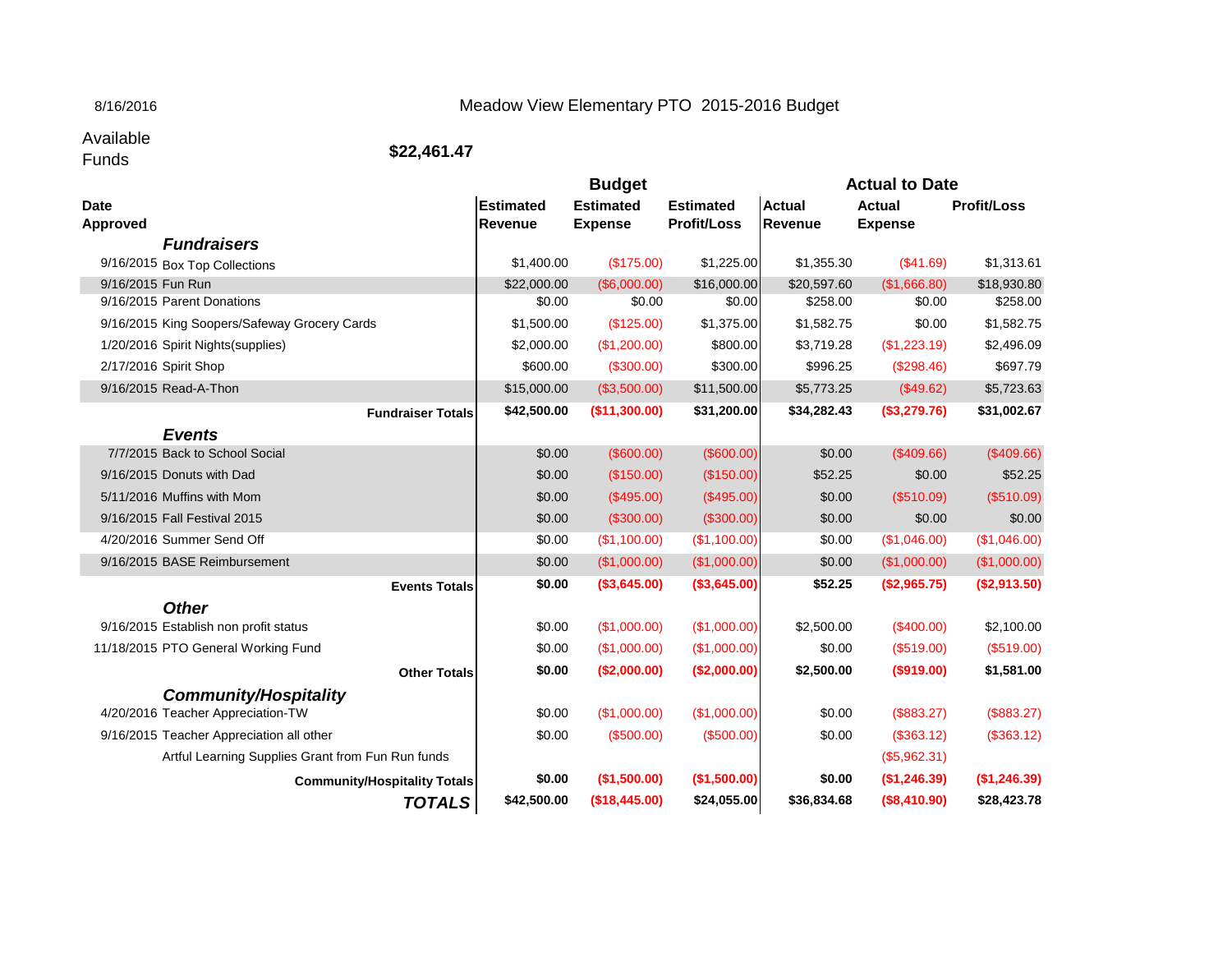## 8/16/2016

## Meadow View Elementary PTO 2015-2016 Budget

Available<br>Funds

Funds **\$22,461.47**

|                       |                                                   |                       | <b>Budget</b>          |                       | <b>Actual to Date</b>   |                        |                         |
|-----------------------|---------------------------------------------------|-----------------------|------------------------|-----------------------|-------------------------|------------------------|-------------------------|
| <b>Date</b>           |                                                   | <b>Estimated</b>      | <b>Estimated</b>       | <b>Estimated</b>      | <b>Actual</b>           | <b>Actual</b>          | <b>Profit/Loss</b>      |
| <b>Approved</b>       |                                                   | <b>Revenue</b>        | <b>Expense</b>         | <b>Profit/Loss</b>    | Revenue                 | <b>Expense</b>         |                         |
|                       | <b>Fundraisers</b>                                | \$1,400.00            | (\$175.00)             | \$1,225.00            | \$1,355.30              | (\$41.69)              | \$1,313.61              |
|                       | 9/16/2015 Box Top Collections                     |                       |                        |                       |                         |                        |                         |
| 9/16/2015 Fun Run     | 9/16/2015 Parent Donations                        | \$22,000.00<br>\$0.00 | (\$6,000.00)<br>\$0.00 | \$16,000.00<br>\$0.00 | \$20,597.60<br>\$258.00 | (\$1,666.80)<br>\$0.00 | \$18,930.80<br>\$258.00 |
|                       | 9/16/2015 King Soopers/Safeway Grocery Cards      | \$1,500.00            | (\$125.00)             | \$1,375.00            | \$1,582.75              | \$0.00                 | \$1,582.75              |
|                       | 1/20/2016 Spirit Nights (supplies)                | \$2,000.00            | (\$1,200.00)           | \$800.00              | \$3,719.28              | (\$1,223.19)           | \$2,496.09              |
| 2/17/2016 Spirit Shop |                                                   | \$600.00              | (\$300.00)             | \$300.00              | \$996.25                | (\$298.46)             | \$697.79                |
|                       | 9/16/2015 Read-A-Thon                             | \$15,000.00           | (\$3,500.00)           | \$11,500.00           | \$5,773.25              | (\$49.62)              | \$5,723.63              |
|                       |                                                   |                       |                        |                       |                         |                        |                         |
|                       | <b>Fundraiser Totals</b>                          | \$42,500.00           | (\$11,300.00)          | \$31,200.00           | \$34,282.43             | (\$3,279.76)           | \$31,002.67             |
|                       | <b>Events</b>                                     |                       |                        |                       |                         |                        |                         |
|                       | 7/7/2015 Back to School Social                    | \$0.00                | (\$600.00)             | (\$600.00)            | \$0.00                  | (\$409.66)             | (\$409.66)              |
|                       | 9/16/2015 Donuts with Dad                         | \$0.00                | (\$150.00)             | (\$150.00)            | \$52.25                 | \$0.00                 | \$52.25                 |
|                       | 5/11/2016 Muffins with Mom                        | \$0.00                | (\$495.00)             | (\$495.00)            | \$0.00                  | (\$510.09)             | (\$510.09)              |
|                       | 9/16/2015 Fall Festival 2015                      | \$0.00                | (\$300.00)             | (\$300.00)            | \$0.00                  | \$0.00                 | \$0.00                  |
|                       | 4/20/2016 Summer Send Off                         | \$0.00                | (\$1,100.00)           | (\$1,100.00)          | \$0.00                  | (\$1,046.00)           | (\$1,046.00)            |
|                       | 9/16/2015 BASE Reimbursement                      | \$0.00                | (\$1,000.00)           | (\$1,000.00)          | \$0.00                  | (\$1,000.00)           | (\$1,000.00)            |
|                       | <b>Events Totals</b>                              | \$0.00                | ( \$3,645.00)          | (\$3,645.00)          | \$52.25                 | (\$2,965.75)           | (\$2,913.50)            |
|                       | <b>Other</b>                                      |                       |                        |                       |                         |                        |                         |
|                       | 9/16/2015 Establish non profit status             | \$0.00                | (\$1,000.00)           | (\$1,000.00)          | \$2,500.00              | (\$400.00)             | \$2,100.00              |
|                       | 11/18/2015 PTO General Working Fund               | \$0.00                | (\$1,000.00)           | (\$1,000.00)          | \$0.00                  | (\$519.00)             | (\$519.00)              |
|                       | <b>Other Totals</b>                               | \$0.00                | (\$2,000.00)           | (\$2,000.00)          | \$2,500.00              | (\$919.00)             | \$1,581.00              |
|                       | <b>Community/Hospitality</b>                      |                       |                        |                       |                         |                        |                         |
|                       | 4/20/2016 Teacher Appreciation-TW                 | \$0.00                | (\$1,000.00)           | (\$1,000.00)          | \$0.00                  | (\$883.27)             | (\$883.27)              |
|                       | 9/16/2015 Teacher Appreciation all other          | \$0.00                | (\$500.00)             | (\$500.00)            | \$0.00                  | (\$363.12)             | (\$363.12)              |
|                       | Artful Learning Supplies Grant from Fun Run funds |                       |                        |                       |                         | (\$5,962.31)           |                         |
|                       | <b>Community/Hospitality Totals</b>               | \$0.00                | (\$1,500.00)           | (\$1,500.00)          | \$0.00                  | (\$1,246.39)           | (\$1,246.39)            |
|                       | <b>TOTALS</b>                                     | \$42,500.00           | (\$18,445.00)          | \$24,055.00           | \$36,834.68             | (\$8,410.90)           | \$28,423.78             |